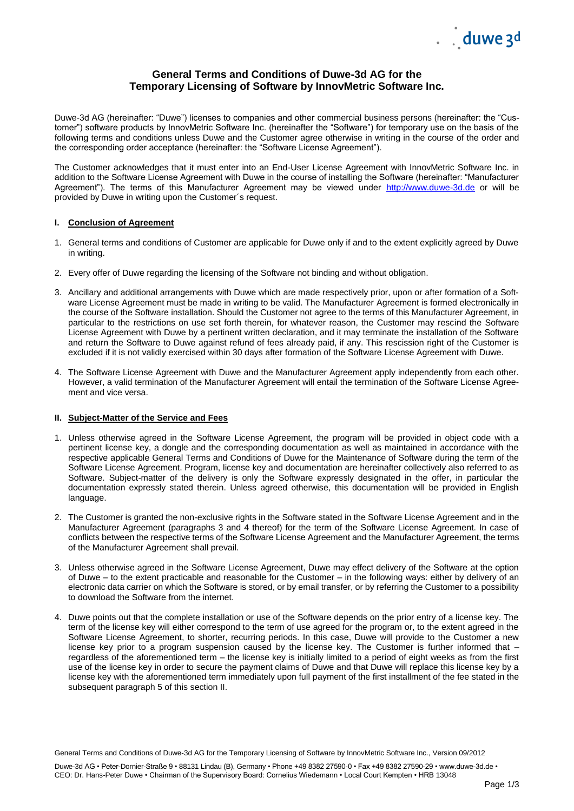

# **General Terms and Conditions of Duwe-3d AG for the Temporary Licensing of Software by InnovMetric Software Inc.**

Duwe-3d AG (hereinafter: "Duwe") licenses to companies and other commercial business persons (hereinafter: the "Customer") software products by InnovMetric Software Inc. (hereinafter the "Software") for temporary use on the basis of the following terms and conditions unless Duwe and the Customer agree otherwise in writing in the course of the order and the corresponding order acceptance (hereinafter: the "Software License Agreement").

The Customer acknowledges that it must enter into an End-User License Agreement with InnovMetric Software Inc. in addition to the Software License Agreement with Duwe in the course of installing the Software (hereinafter: "Manufacturer Agreement"). The terms of this Manufacturer Agreement may be viewed under [http://www.duwe-3d.de](http://www.duwe-3d.de/) or will be provided by Duwe in writing upon the Customer´s request.

## **I. Conclusion of Agreement**

- 1. General terms and conditions of Customer are applicable for Duwe only if and to the extent explicitly agreed by Duwe in writing.
- 2. Every offer of Duwe regarding the licensing of the Software not binding and without obligation.
- 3. Ancillary and additional arrangements with Duwe which are made respectively prior, upon or after formation of a Software License Agreement must be made in writing to be valid. The Manufacturer Agreement is formed electronically in the course of the Software installation. Should the Customer not agree to the terms of this Manufacturer Agreement, in particular to the restrictions on use set forth therein, for whatever reason, the Customer may rescind the Software License Agreement with Duwe by a pertinent written declaration, and it may terminate the installation of the Software and return the Software to Duwe against refund of fees already paid, if any. This rescission right of the Customer is excluded if it is not validly exercised within 30 days after formation of the Software License Agreement with Duwe.
- 4. The Software License Agreement with Duwe and the Manufacturer Agreement apply independently from each other. However, a valid termination of the Manufacturer Agreement will entail the termination of the Software License Agreement and vice versa.

## **II. Subject-Matter of the Service and Fees**

- 1. Unless otherwise agreed in the Software License Agreement, the program will be provided in object code with a pertinent license key, a dongle and the corresponding documentation as well as maintained in accordance with the respective applicable General Terms and Conditions of Duwe for the Maintenance of Software during the term of the Software License Agreement. Program, license key and documentation are hereinafter collectively also referred to as Software. Subject-matter of the delivery is only the Software expressly designated in the offer, in particular the documentation expressly stated therein. Unless agreed otherwise, this documentation will be provided in English language.
- 2. The Customer is granted the non-exclusive rights in the Software stated in the Software License Agreement and in the Manufacturer Agreement (paragraphs 3 and 4 thereof) for the term of the Software License Agreement. In case of conflicts between the respective terms of the Software License Agreement and the Manufacturer Agreement, the terms of the Manufacturer Agreement shall prevail.
- 3. Unless otherwise agreed in the Software License Agreement, Duwe may effect delivery of the Software at the option of Duwe – to the extent practicable and reasonable for the Customer – in the following ways: either by delivery of an electronic data carrier on which the Software is stored, or by email transfer, or by referring the Customer to a possibility to download the Software from the internet.
- 4. Duwe points out that the complete installation or use of the Software depends on the prior entry of a license key. The term of the license key will either correspond to the term of use agreed for the program or, to the extent agreed in the Software License Agreement, to shorter, recurring periods. In this case, Duwe will provide to the Customer a new license key prior to a program suspension caused by the license key. The Customer is further informed that – regardless of the aforementioned term – the license key is initially limited to a period of eight weeks as from the first use of the license key in order to secure the payment claims of Duwe and that Duwe will replace this license key by a license key with the aforementioned term immediately upon full payment of the first installment of the fee stated in the subsequent paragraph 5 of this section II.

General Terms and Conditions of Duwe-3d AG for the Temporary Licensing of Software by InnovMetric Software Inc., Version 09/2012

Duwe-3d AG • Peter-Dornier-Straße 9 • 88131 Lindau (B), Germany • Phone +49 8382 27590-0 • Fax +49 8382 27590-29 • www.duwe-3d.de • CEO: Dr. Hans-Peter Duwe • Chairman of the Supervisory Board: Cornelius Wiedemann • Local Court Kempten • HRB 13048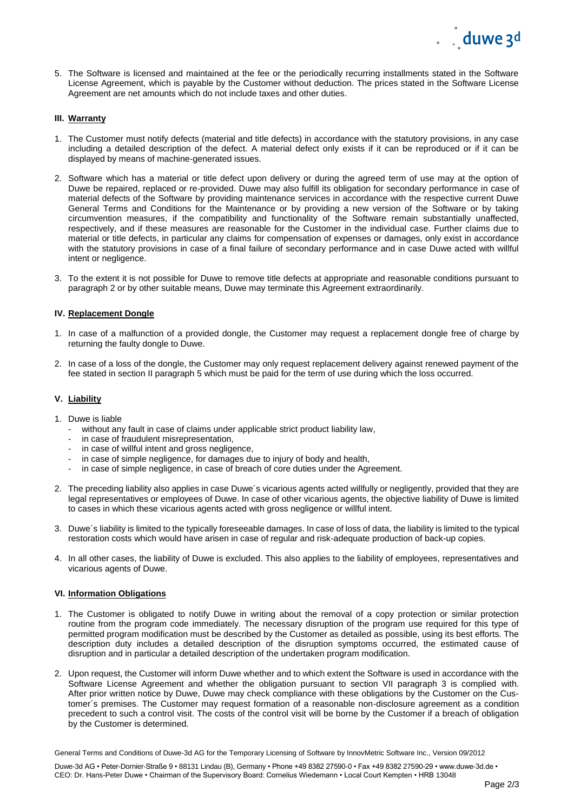5. The Software is licensed and maintained at the fee or the periodically recurring installments stated in the Software License Agreement, which is payable by the Customer without deduction. The prices stated in the Software License Agreement are net amounts which do not include taxes and other duties.

## **III. Warranty**

- 1. The Customer must notify defects (material and title defects) in accordance with the statutory provisions, in any case including a detailed description of the defect. A material defect only exists if it can be reproduced or if it can be displayed by means of machine-generated issues.
- 2. Software which has a material or title defect upon delivery or during the agreed term of use may at the option of Duwe be repaired, replaced or re-provided. Duwe may also fulfill its obligation for secondary performance in case of material defects of the Software by providing maintenance services in accordance with the respective current Duwe General Terms and Conditions for the Maintenance or by providing a new version of the Software or by taking circumvention measures, if the compatibility and functionality of the Software remain substantially unaffected, respectively, and if these measures are reasonable for the Customer in the individual case. Further claims due to material or title defects, in particular any claims for compensation of expenses or damages, only exist in accordance with the statutory provisions in case of a final failure of secondary performance and in case Duwe acted with willful intent or negligence.
- 3. To the extent it is not possible for Duwe to remove title defects at appropriate and reasonable conditions pursuant to paragraph 2 or by other suitable means, Duwe may terminate this Agreement extraordinarily.

#### **IV. Replacement Dongle**

- 1. In case of a malfunction of a provided dongle, the Customer may request a replacement dongle free of charge by returning the faulty dongle to Duwe.
- 2. In case of a loss of the dongle, the Customer may only request replacement delivery against renewed payment of the fee stated in section II paragraph 5 which must be paid for the term of use during which the loss occurred.

## **V. Liability**

- 1. Duwe is liable
	- without any fault in case of claims under applicable strict product liability law,
	- in case of fraudulent misrepresentation.
	- in case of willful intent and gross negligence,
	- in case of simple negligence, for damages due to injury of body and health,
	- in case of simple negligence, in case of breach of core duties under the Agreement.
- 2. The preceding liability also applies in case Duwe´s vicarious agents acted willfully or negligently, provided that they are legal representatives or employees of Duwe. In case of other vicarious agents, the objective liability of Duwe is limited to cases in which these vicarious agents acted with gross negligence or willful intent.
- 3. Duwe´s liability is limited to the typically foreseeable damages. In case of loss of data, the liability is limited to the typical restoration costs which would have arisen in case of regular and risk-adequate production of back-up copies.
- 4. In all other cases, the liability of Duwe is excluded. This also applies to the liability of employees, representatives and vicarious agents of Duwe.

#### **VI. Information Obligations**

- 1. The Customer is obligated to notify Duwe in writing about the removal of a copy protection or similar protection routine from the program code immediately. The necessary disruption of the program use required for this type of permitted program modification must be described by the Customer as detailed as possible, using its best efforts. The description duty includes a detailed description of the disruption symptoms occurred, the estimated cause of disruption and in particular a detailed description of the undertaken program modification.
- 2. Upon request, the Customer will inform Duwe whether and to which extent the Software is used in accordance with the Software License Agreement and whether the obligation pursuant to section VII paragraph 3 is complied with. After prior written notice by Duwe, Duwe may check compliance with these obligations by the Customer on the Customer´s premises. The Customer may request formation of a reasonable non-disclosure agreement as a condition precedent to such a control visit. The costs of the control visit will be borne by the Customer if a breach of obligation by the Customer is determined.

General Terms and Conditions of Duwe-3d AG for the Temporary Licensing of Software by InnovMetric Software Inc., Version 09/2012

Duwe-3d AG • Peter-Dornier-Straße 9 • 88131 Lindau (B), Germany • Phone +49 8382 27590-0 • Fax +49 8382 27590-29 • www.duwe-3d.de • CEO: Dr. Hans-Peter Duwe • Chairman of the Supervisory Board: Cornelius Wiedemann • Local Court Kempten • HRB 13048